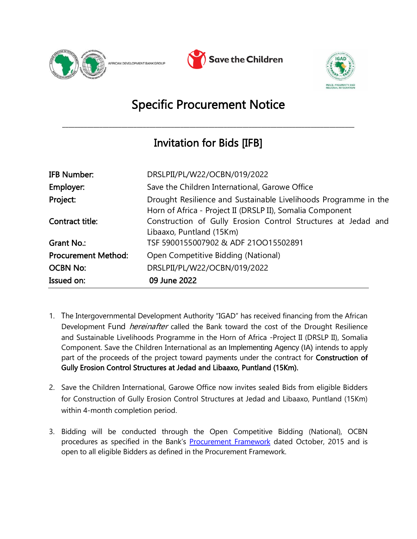





## Specific Procurement Notice

\_\_\_\_\_\_\_\_\_\_\_\_\_\_\_\_\_\_\_\_\_\_\_\_\_\_\_\_\_\_\_\_\_\_\_\_\_\_\_\_\_\_\_\_\_\_\_\_\_\_\_\_\_\_\_\_\_\_\_\_\_\_\_\_\_\_\_\_\_\_\_\_\_\_\_\_\_\_\_\_\_\_\_\_\_\_\_\_\_\_\_\_\_\_

## Invitation for Bids [IFB]

| <b>IFB Number:</b>         | DRSLPII/PL/W22/OCBN/019/2022                                                                                                 |
|----------------------------|------------------------------------------------------------------------------------------------------------------------------|
| Employer:                  | Save the Children International, Garowe Office                                                                               |
| Project:                   | Drought Resilience and Sustainable Livelihoods Programme in the<br>Horn of Africa - Project II (DRSLP II), Somalia Component |
| Contract title:            | Construction of Gully Erosion Control Structures at Jedad and<br>Libaaxo, Puntland (15Km)                                    |
| Grant No.:                 | TSF 5900155007902 & ADF 210015502891                                                                                         |
| <b>Procurement Method:</b> | Open Competitive Bidding (National)                                                                                          |
| <b>OCBN No:</b>            | DRSLPII/PL/W22/OCBN/019/2022                                                                                                 |
| Issued on:                 | 09 June 2022                                                                                                                 |

- 1. The Intergovernmental Development Authority "IGAD" has received financing from the African Development Fund *hereinafter* called the Bank toward the cost of the Drought Resilience and Sustainable Livelihoods Programme in the Horn of Africa -Project II (DRSLP II), Somalia Component. Save the Children International as an Implementing Agency (IA) intends to apply part of the proceeds of the project toward payments under the contract for Construction of Gully Erosion Control Structures at Jedad and Libaaxo, Puntland (15Km).
- 2. Save the Children International, Garowe Office now invites sealed Bids from eligible Bidders for Construction of Gully Erosion Control Structures at Jedad and Libaaxo, Puntland (15Km) within 4-month completion period.
- 3. Bidding will be conducted through the Open Competitive Bidding (National), OCBN procedures as specified in the Bank's [Procurement Framework](https://www.afdb.org/en/projects-and-operations/procurement/new-procurement-policy) dated October, 2015 and is open to all eligible Bidders as defined in the Procurement Framework.